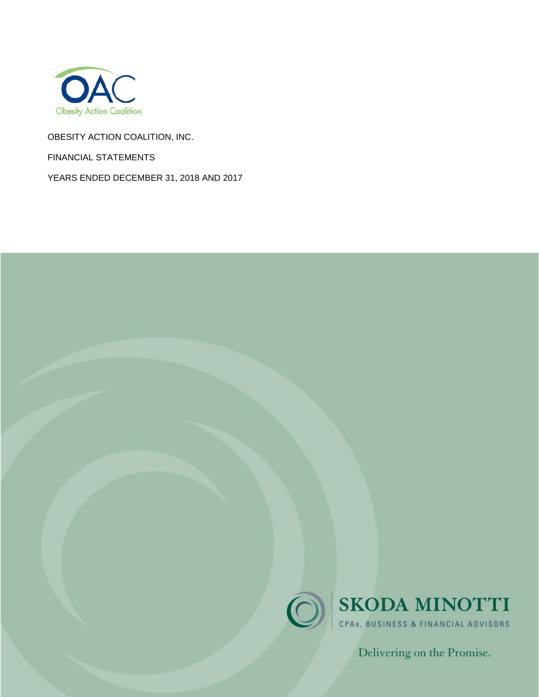

FINANCIAL STATEMENTS

YEARS ENDED DECEMBER 31, 2018 AND 2017



Delivering on the Promise.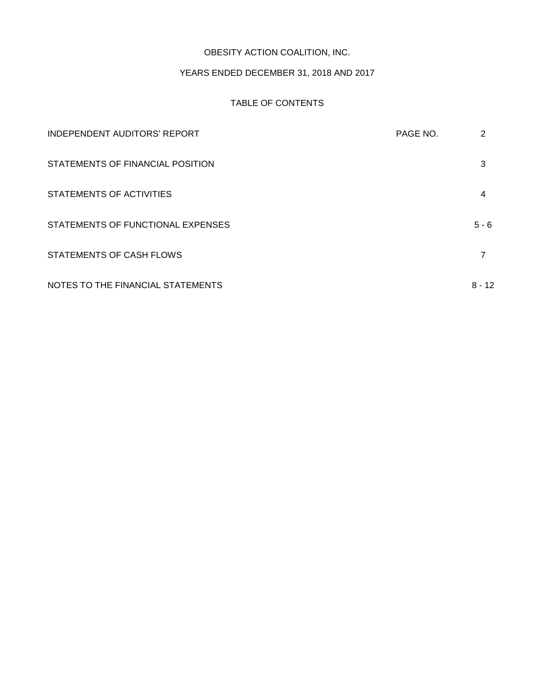# YEARS ENDED DECEMBER 31, 2018 AND 2017

# TABLE OF CONTENTS

| <b>INDEPENDENT AUDITORS' REPORT</b> | PAGE NO. | 2        |
|-------------------------------------|----------|----------|
| STATEMENTS OF FINANCIAL POSITION    |          | 3        |
| STATEMENTS OF ACTIVITIES            |          | 4        |
| STATEMENTS OF FUNCTIONAL EXPENSES   |          | $5 - 6$  |
| STATEMENTS OF CASH FLOWS            |          | 7        |
| NOTES TO THE FINANCIAL STATEMENTS   |          | $8 - 12$ |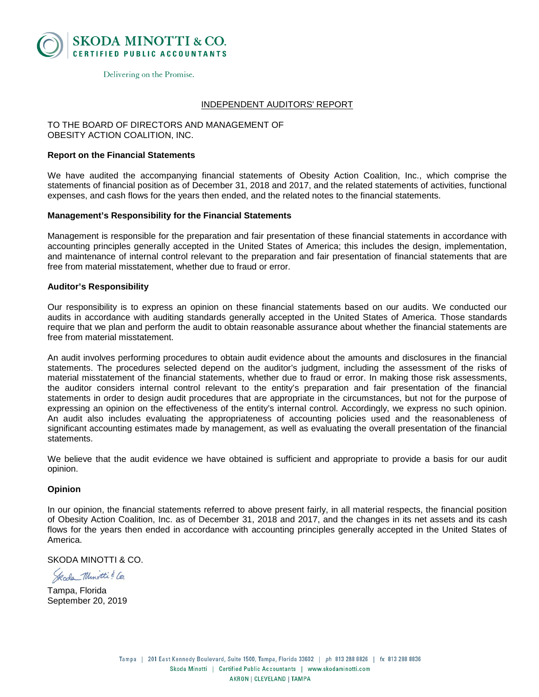

Delivering on the Promise.

#### INDEPENDENT AUDITORS' REPORT

#### TO THE BOARD OF DIRECTORS AND MANAGEMENT OF OBESITY ACTION COALITION, INC.

#### **Report on the Financial Statements**

We have audited the accompanying financial statements of Obesity Action Coalition, Inc., which comprise the statements of financial position as of December 31, 2018 and 2017, and the related statements of activities, functional expenses, and cash flows for the years then ended, and the related notes to the financial statements.

#### **Management's Responsibility for the Financial Statements**

Management is responsible for the preparation and fair presentation of these financial statements in accordance with accounting principles generally accepted in the United States of America; this includes the design, implementation, and maintenance of internal control relevant to the preparation and fair presentation of financial statements that are free from material misstatement, whether due to fraud or error.

#### **Auditor's Responsibility**

Our responsibility is to express an opinion on these financial statements based on our audits. We conducted our audits in accordance with auditing standards generally accepted in the United States of America. Those standards require that we plan and perform the audit to obtain reasonable assurance about whether the financial statements are free from material misstatement.

An audit involves performing procedures to obtain audit evidence about the amounts and disclosures in the financial statements. The procedures selected depend on the auditor's judgment, including the assessment of the risks of material misstatement of the financial statements, whether due to fraud or error. In making those risk assessments, the auditor considers internal control relevant to the entity's preparation and fair presentation of the financial statements in order to design audit procedures that are appropriate in the circumstances, but not for the purpose of expressing an opinion on the effectiveness of the entity's internal control. Accordingly, we express no such opinion. An audit also includes evaluating the appropriateness of accounting policies used and the reasonableness of significant accounting estimates made by management, as well as evaluating the overall presentation of the financial statements.

We believe that the audit evidence we have obtained is sufficient and appropriate to provide a basis for our audit opinion.

#### **Opinion**

In our opinion, the financial statements referred to above present fairly, in all material respects, the financial position of Obesity Action Coalition, Inc. as of December 31, 2018 and 2017, and the changes in its net assets and its cash flows for the years then ended in accordance with accounting principles generally accepted in the United States of America.

SKODA MINOTTI & CO.

Skoda Ministri & Co.

Tampa, Florida September 20, 2019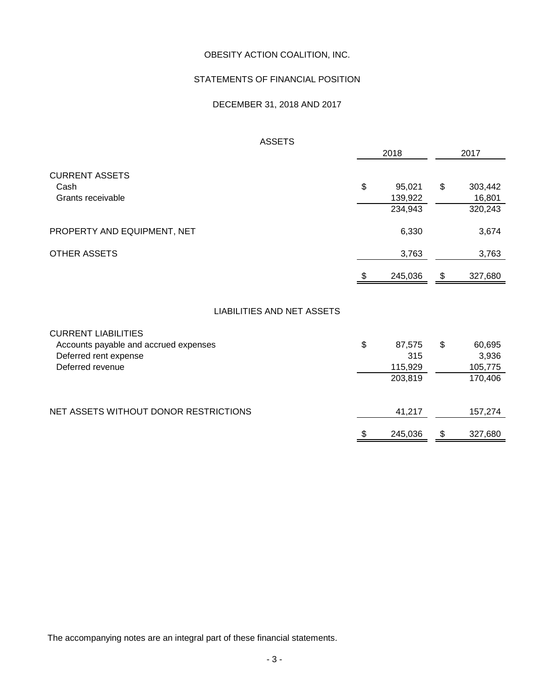## STATEMENTS OF FINANCIAL POSITION

# DECEMBER 31, 2018 AND 2017

#### ASSETS

|                                                                                                                  | 2018 |                                     | 2017                                        |  |  |
|------------------------------------------------------------------------------------------------------------------|------|-------------------------------------|---------------------------------------------|--|--|
| <b>CURRENT ASSETS</b><br>Cash<br>Grants receivable                                                               | \$   | 95,021<br>139,922<br>234,943        | \$<br>303,442<br>16,801<br>320,243          |  |  |
| PROPERTY AND EQUIPMENT, NET                                                                                      |      | 6,330                               | 3,674                                       |  |  |
| <b>OTHER ASSETS</b>                                                                                              |      | 3,763                               | 3,763                                       |  |  |
|                                                                                                                  |      | 245,036                             | \$<br>327,680                               |  |  |
| <b>LIABILITIES AND NET ASSETS</b>                                                                                |      |                                     |                                             |  |  |
| <b>CURRENT LIABILITIES</b><br>Accounts payable and accrued expenses<br>Deferred rent expense<br>Deferred revenue | \$   | 87,575<br>315<br>115,929<br>203,819 | \$<br>60,695<br>3,936<br>105,775<br>170,406 |  |  |
| NET ASSETS WITHOUT DONOR RESTRICTIONS                                                                            |      | 41,217                              | 157,274                                     |  |  |
|                                                                                                                  | \$   | 245,036                             | \$<br>327,680                               |  |  |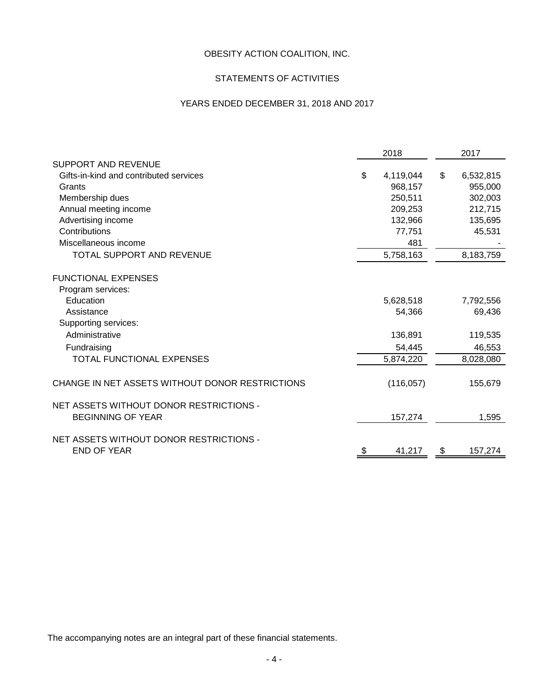# STATEMENTS OF ACTIVITIES

# YEARS ENDED DECEMBER 31, 2018 AND 2017

|                                                 | 2018 |            |    | 2017      |
|-------------------------------------------------|------|------------|----|-----------|
| SUPPORT AND REVENUE                             |      |            |    |           |
| Gifts-in-kind and contributed services          | \$   | 4,119,044  | \$ | 6,532,815 |
| Grants                                          |      | 968,157    |    | 955,000   |
| Membership dues                                 |      | 250,511    |    | 302,003   |
| Annual meeting income                           |      | 209,253    |    | 212,715   |
| Advertising income                              |      | 132,966    |    | 135,695   |
| Contributions                                   |      | 77,751     |    | 45,531    |
| Miscellaneous income                            |      | 481        |    |           |
| <b>TOTAL SUPPORT AND REVENUE</b>                |      | 5,758,163  |    | 8,183,759 |
| <b>FUNCTIONAL EXPENSES</b>                      |      |            |    |           |
| Program services:                               |      |            |    |           |
| Education                                       |      | 5,628,518  |    | 7,792,556 |
| Assistance                                      |      | 54,366     |    | 69,436    |
| Supporting services:                            |      |            |    |           |
| Administrative                                  |      | 136,891    |    | 119,535   |
| Fundraising                                     |      | 54,445     |    | 46,553    |
| <b>TOTAL FUNCTIONAL EXPENSES</b>                |      | 5,874,220  |    | 8,028,080 |
| CHANGE IN NET ASSETS WITHOUT DONOR RESTRICTIONS |      | (116, 057) |    | 155,679   |
| NET ASSETS WITHOUT DONOR RESTRICTIONS -         |      |            |    |           |
| <b>BEGINNING OF YEAR</b>                        |      | 157,274    |    | 1,595     |
| NET ASSETS WITHOUT DONOR RESTRICTIONS -         |      |            |    |           |
| <b>END OF YEAR</b>                              | \$   | 41,217     | \$ | 157,274   |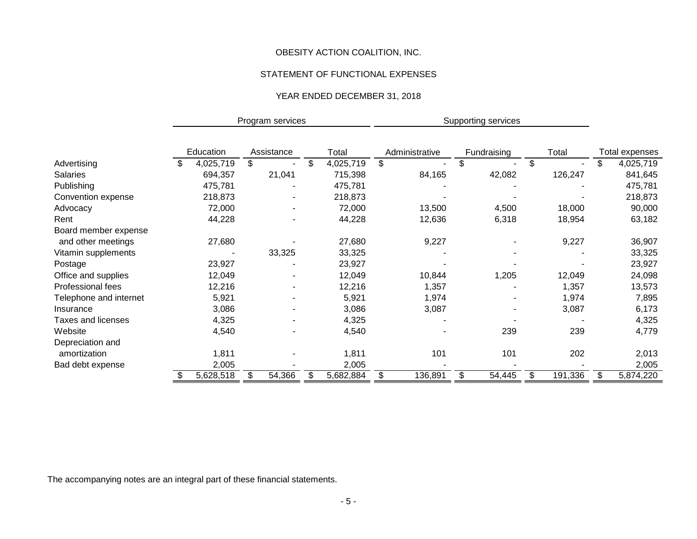### STATEMENT OF FUNCTIONAL EXPENSES

### YEAR ENDED DECEMBER 31, 2018

|                        | Program services |           |    |            |    | Supporting services |    |                |    |             |    |         |                 |
|------------------------|------------------|-----------|----|------------|----|---------------------|----|----------------|----|-------------|----|---------|-----------------|
|                        |                  | Education |    | Assistance |    | Total               |    | Administrative |    | Fundraising |    | Total   | Total expenses  |
| Advertising            | \$               | 4,025,719 | \$ |            | \$ | 4,025,719           | \$ |                | \$ |             | \$ |         | 4,025,719       |
| <b>Salaries</b>        |                  | 694,357   |    | 21,041     |    | 715,398             |    | 84,165         |    | 42,082      |    | 126,247 | 841,645         |
| Publishing             |                  | 475,781   |    |            |    | 475,781             |    |                |    |             |    |         | 475,781         |
| Convention expense     |                  | 218,873   |    |            |    | 218,873             |    |                |    |             |    |         | 218,873         |
| Advocacy               |                  | 72,000    |    |            |    | 72,000              |    | 13,500         |    | 4,500       |    | 18,000  | 90,000          |
| Rent                   |                  | 44,228    |    |            |    | 44,228              |    | 12,636         |    | 6,318       |    | 18,954  | 63,182          |
| Board member expense   |                  |           |    |            |    |                     |    |                |    |             |    |         |                 |
| and other meetings     |                  | 27,680    |    |            |    | 27,680              |    | 9,227          |    |             |    | 9,227   | 36,907          |
| Vitamin supplements    |                  |           |    | 33,325     |    | 33,325              |    |                |    |             |    |         | 33,325          |
| Postage                |                  | 23,927    |    |            |    | 23,927              |    |                |    |             |    |         | 23,927          |
| Office and supplies    |                  | 12,049    |    |            |    | 12,049              |    | 10,844         |    | 1,205       |    | 12,049  | 24,098          |
| Professional fees      |                  | 12,216    |    |            |    | 12,216              |    | 1,357          |    |             |    | 1,357   | 13,573          |
| Telephone and internet |                  | 5,921     |    |            |    | 5,921               |    | 1,974          |    |             |    | 1,974   | 7,895           |
| Insurance              |                  | 3,086     |    |            |    | 3,086               |    | 3,087          |    |             |    | 3,087   | 6,173           |
| Taxes and licenses     |                  | 4,325     |    |            |    | 4,325               |    |                |    |             |    |         | 4,325           |
| Website                |                  | 4,540     |    |            |    | 4,540               |    |                |    | 239         |    | 239     | 4,779           |
| Depreciation and       |                  |           |    |            |    |                     |    |                |    |             |    |         |                 |
| amortization           |                  | 1,811     |    |            |    | 1,811               |    | 101            |    | 101         |    | 202     | 2,013           |
| Bad debt expense       |                  | 2,005     |    |            |    | 2,005               |    |                |    |             |    |         | 2,005           |
|                        | \$               | 5,628,518 | S  | 54,366     | S  | 5,682,884           | \$ | 136,891        |    | 54,445      | \$ | 191,336 | \$<br>5,874,220 |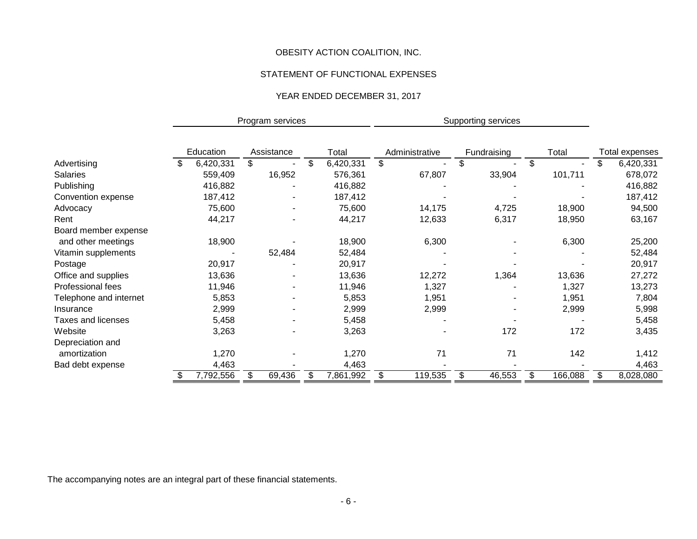### STATEMENT OF FUNCTIONAL EXPENSES

### YEAR ENDED DECEMBER 31, 2017

|                        | Program services |           |    |            |    | Supporting services |    |                |    |             |    |         |                 |
|------------------------|------------------|-----------|----|------------|----|---------------------|----|----------------|----|-------------|----|---------|-----------------|
|                        |                  | Education |    | Assistance |    | Total               |    | Administrative |    | Fundraising |    | Total   | Total expenses  |
| Advertising            | \$               | 6,420,331 | \$ |            | \$ | 6,420,331           | \$ |                | \$ |             | \$ |         | \$<br>6,420,331 |
| <b>Salaries</b>        |                  | 559,409   |    | 16,952     |    | 576,361             |    | 67,807         |    | 33,904      |    | 101,711 | 678,072         |
| Publishing             |                  | 416,882   |    |            |    | 416,882             |    |                |    |             |    |         | 416,882         |
| Convention expense     |                  | 187,412   |    |            |    | 187,412             |    |                |    |             |    |         | 187,412         |
| Advocacy               |                  | 75,600    |    |            |    | 75,600              |    | 14,175         |    | 4,725       |    | 18,900  | 94,500          |
| Rent                   |                  | 44,217    |    |            |    | 44,217              |    | 12,633         |    | 6,317       |    | 18,950  | 63,167          |
| Board member expense   |                  |           |    |            |    |                     |    |                |    |             |    |         |                 |
| and other meetings     |                  | 18,900    |    |            |    | 18,900              |    | 6,300          |    |             |    | 6,300   | 25,200          |
| Vitamin supplements    |                  |           |    | 52,484     |    | 52,484              |    |                |    |             |    |         | 52,484          |
| Postage                |                  | 20,917    |    |            |    | 20,917              |    |                |    |             |    |         | 20,917          |
| Office and supplies    |                  | 13,636    |    |            |    | 13,636              |    | 12,272         |    | 1,364       |    | 13,636  | 27,272          |
| Professional fees      |                  | 11,946    |    |            |    | 11,946              |    | 1,327          |    |             |    | 1,327   | 13,273          |
| Telephone and internet |                  | 5,853     |    |            |    | 5,853               |    | 1,951          |    |             |    | 1,951   | 7,804           |
| Insurance              |                  | 2,999     |    |            |    | 2,999               |    | 2,999          |    |             |    | 2,999   | 5,998           |
| Taxes and licenses     |                  | 5,458     |    |            |    | 5,458               |    |                |    |             |    |         | 5,458           |
| Website                |                  | 3,263     |    |            |    | 3,263               |    |                |    | 172         |    | 172     | 3,435           |
| Depreciation and       |                  |           |    |            |    |                     |    |                |    |             |    |         |                 |
| amortization           |                  | 1,270     |    |            |    | 1,270               |    | 71             |    | 71          |    | 142     | 1,412           |
| Bad debt expense       |                  | 4,463     |    |            |    | 4,463               |    |                |    |             |    |         | 4,463           |
|                        | \$               | 7,792,556 | S  | 69,436     | S  | 7,861,992           | \$ | 119,535        |    | 46,553      | \$ | 166,088 | \$<br>8,028,080 |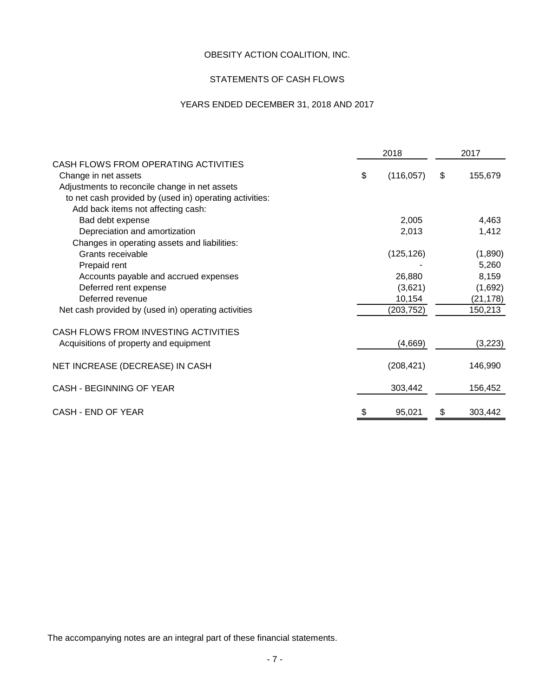# STATEMENTS OF CASH FLOWS

# YEARS ENDED DECEMBER 31, 2018 AND 2017

|                                                         | 2018             | 2017 |           |  |
|---------------------------------------------------------|------------------|------|-----------|--|
| CASH FLOWS FROM OPERATING ACTIVITIES                    |                  |      |           |  |
| Change in net assets                                    | \$<br>(116, 057) | \$   | 155,679   |  |
| Adjustments to reconcile change in net assets           |                  |      |           |  |
| to net cash provided by (used in) operating activities: |                  |      |           |  |
| Add back items not affecting cash:                      |                  |      |           |  |
| Bad debt expense                                        | 2,005            |      | 4,463     |  |
| Depreciation and amortization                           | 2,013            |      | 1,412     |  |
| Changes in operating assets and liabilities:            |                  |      |           |  |
| Grants receivable                                       | (125, 126)       |      | (1,890)   |  |
| Prepaid rent                                            |                  |      | 5,260     |  |
| Accounts payable and accrued expenses                   | 26,880           |      | 8,159     |  |
| Deferred rent expense                                   | (3,621)          |      | (1,692)   |  |
| Deferred revenue                                        | 10,154           |      | (21, 178) |  |
| Net cash provided by (used in) operating activities     | (203, 752)       |      | 150,213   |  |
| CASH FLOWS FROM INVESTING ACTIVITIES                    |                  |      |           |  |
| Acquisitions of property and equipment                  | (4,669)          |      | (3,223)   |  |
| NET INCREASE (DECREASE) IN CASH                         | (208, 421)       |      | 146,990   |  |
| CASH - BEGINNING OF YEAR                                | 303,442          |      | 156,452   |  |
| CASH - END OF YEAR                                      | 95,021           | \$   | 303,442   |  |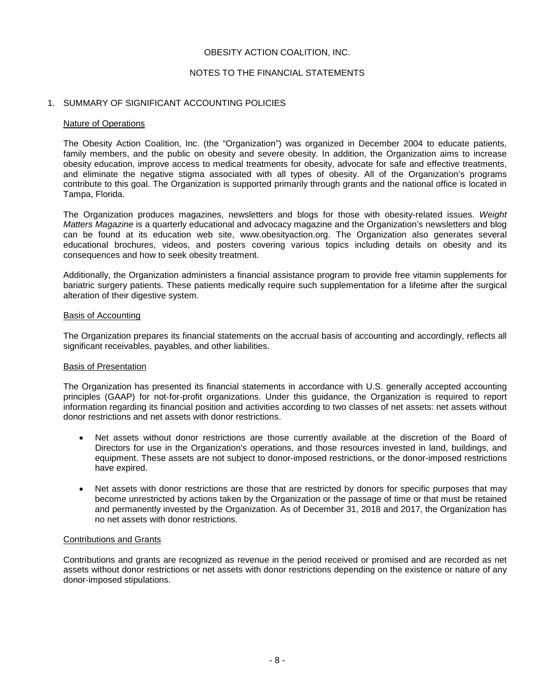#### NOTES TO THE FINANCIAL STATEMENTS

#### 1. SUMMARY OF SIGNIFICANT ACCOUNTING POLICIES

#### Nature of Operations

The Obesity Action Coalition, Inc. (the "Organization") was organized in December 2004 to educate patients, family members, and the public on obesity and severe obesity. In addition, the Organization aims to increase obesity education, improve access to medical treatments for obesity, advocate for safe and effective treatments, and eliminate the negative stigma associated with all types of obesity. All of the Organization's programs contribute to this goal. The Organization is supported primarily through grants and the national office is located in Tampa, Florida.

The Organization produces magazines, newsletters and blogs for those with obesity-related issues. *Weight Matters Magazine* is a quarterly educational and advocacy magazine and the Organization's newsletters and blog can be found at its education web site, www.obesityaction.org. The Organization also generates several educational brochures, videos, and posters covering various topics including details on obesity and its consequences and how to seek obesity treatment.

Additionally, the Organization administers a financial assistance program to provide free vitamin supplements for bariatric surgery patients. These patients medically require such supplementation for a lifetime after the surgical alteration of their digestive system.

#### Basis of Accounting

The Organization prepares its financial statements on the accrual basis of accounting and accordingly, reflects all significant receivables, payables, and other liabilities.

#### Basis of Presentation

The Organization has presented its financial statements in accordance with U.S. generally accepted accounting principles (GAAP) for not-for-profit organizations. Under this guidance, the Organization is required to report information regarding its financial position and activities according to two classes of net assets: net assets without donor restrictions and net assets with donor restrictions.

- Net assets without donor restrictions are those currently available at the discretion of the Board of Directors for use in the Organization's operations, and those resources invested in land, buildings, and equipment. These assets are not subject to donor-imposed restrictions, or the donor-imposed restrictions have expired.
- Net assets with donor restrictions are those that are restricted by donors for specific purposes that may become unrestricted by actions taken by the Organization or the passage of time or that must be retained and permanently invested by the Organization. As of December 31, 2018 and 2017, the Organization has no net assets with donor restrictions.

#### Contributions and Grants

Contributions and grants are recognized as revenue in the period received or promised and are recorded as net assets without donor restrictions or net assets with donor restrictions depending on the existence or nature of any donor-imposed stipulations.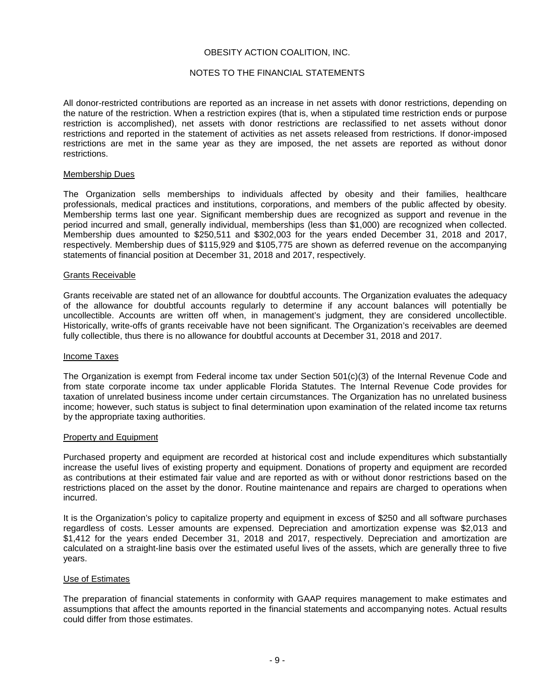#### NOTES TO THE FINANCIAL STATEMENTS

All donor-restricted contributions are reported as an increase in net assets with donor restrictions, depending on the nature of the restriction. When a restriction expires (that is, when a stipulated time restriction ends or purpose restriction is accomplished), net assets with donor restrictions are reclassified to net assets without donor restrictions and reported in the statement of activities as net assets released from restrictions. If donor-imposed restrictions are met in the same year as they are imposed, the net assets are reported as without donor restrictions.

#### Membership Dues

The Organization sells memberships to individuals affected by obesity and their families, healthcare professionals, medical practices and institutions, corporations, and members of the public affected by obesity. Membership terms last one year. Significant membership dues are recognized as support and revenue in the period incurred and small, generally individual, memberships (less than \$1,000) are recognized when collected. Membership dues amounted to \$250,511 and \$302,003 for the years ended December 31, 2018 and 2017, respectively. Membership dues of \$115,929 and \$105,775 are shown as deferred revenue on the accompanying statements of financial position at December 31, 2018 and 2017, respectively.

#### Grants Receivable

Grants receivable are stated net of an allowance for doubtful accounts. The Organization evaluates the adequacy of the allowance for doubtful accounts regularly to determine if any account balances will potentially be uncollectible. Accounts are written off when, in management's judgment, they are considered uncollectible. Historically, write-offs of grants receivable have not been significant. The Organization's receivables are deemed fully collectible, thus there is no allowance for doubtful accounts at December 31, 2018 and 2017.

#### Income Taxes

The Organization is exempt from Federal income tax under Section 501(c)(3) of the Internal Revenue Code and from state corporate income tax under applicable Florida Statutes. The Internal Revenue Code provides for taxation of unrelated business income under certain circumstances. The Organization has no unrelated business income; however, such status is subject to final determination upon examination of the related income tax returns by the appropriate taxing authorities.

#### Property and Equipment

Purchased property and equipment are recorded at historical cost and include expenditures which substantially increase the useful lives of existing property and equipment. Donations of property and equipment are recorded as contributions at their estimated fair value and are reported as with or without donor restrictions based on the restrictions placed on the asset by the donor. Routine maintenance and repairs are charged to operations when incurred.

It is the Organization's policy to capitalize property and equipment in excess of \$250 and all software purchases regardless of costs. Lesser amounts are expensed. Depreciation and amortization expense was \$2,013 and \$1,412 for the years ended December 31, 2018 and 2017, respectively. Depreciation and amortization are calculated on a straight-line basis over the estimated useful lives of the assets, which are generally three to five years.

#### Use of Estimates

The preparation of financial statements in conformity with GAAP requires management to make estimates and assumptions that affect the amounts reported in the financial statements and accompanying notes. Actual results could differ from those estimates.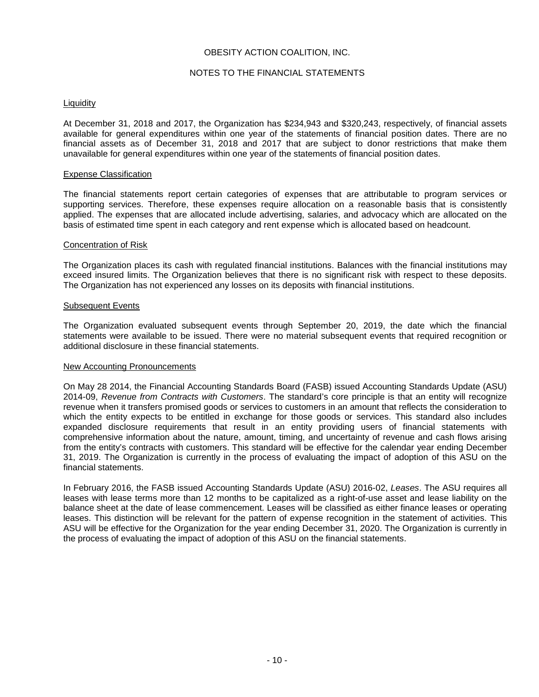#### NOTES TO THE FINANCIAL STATEMENTS

#### **Liquidity**

At December 31, 2018 and 2017, the Organization has \$234,943 and \$320,243, respectively, of financial assets available for general expenditures within one year of the statements of financial position dates. There are no financial assets as of December 31, 2018 and 2017 that are subject to donor restrictions that make them unavailable for general expenditures within one year of the statements of financial position dates.

#### Expense Classification

The financial statements report certain categories of expenses that are attributable to program services or supporting services. Therefore, these expenses require allocation on a reasonable basis that is consistently applied. The expenses that are allocated include advertising, salaries, and advocacy which are allocated on the basis of estimated time spent in each category and rent expense which is allocated based on headcount.

#### Concentration of Risk

The Organization places its cash with regulated financial institutions. Balances with the financial institutions may exceed insured limits. The Organization believes that there is no significant risk with respect to these deposits. The Organization has not experienced any losses on its deposits with financial institutions.

#### Subsequent Events

The Organization evaluated subsequent events through September 20, 2019, the date which the financial statements were available to be issued. There were no material subsequent events that required recognition or additional disclosure in these financial statements.

#### New Accounting Pronouncements

On May 28 2014, the Financial Accounting Standards Board (FASB) issued Accounting Standards Update (ASU) 2014-09, *Revenue from Contracts with Customers*. The standard's core principle is that an entity will recognize revenue when it transfers promised goods or services to customers in an amount that reflects the consideration to which the entity expects to be entitled in exchange for those goods or services. This standard also includes expanded disclosure requirements that result in an entity providing users of financial statements with comprehensive information about the nature, amount, timing, and uncertainty of revenue and cash flows arising from the entity's contracts with customers. This standard will be effective for the calendar year ending December 31, 2019. The Organization is currently in the process of evaluating the impact of adoption of this ASU on the financial statements.

In February 2016, the FASB issued Accounting Standards Update (ASU) 2016-02, *Leases*. The ASU requires all leases with lease terms more than 12 months to be capitalized as a right-of-use asset and lease liability on the balance sheet at the date of lease commencement. Leases will be classified as either finance leases or operating leases. This distinction will be relevant for the pattern of expense recognition in the statement of activities. This ASU will be effective for the Organization for the year ending December 31, 2020. The Organization is currently in the process of evaluating the impact of adoption of this ASU on the financial statements.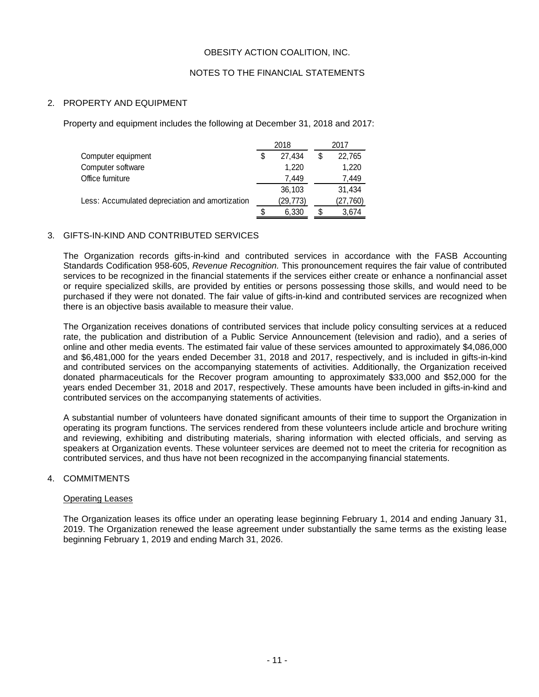### NOTES TO THE FINANCIAL STATEMENTS

#### 2. PROPERTY AND EQUIPMENT

Property and equipment includes the following at December 31, 2018 and 2017:

|                                                 | 2018      |   | 2017      |  |
|-------------------------------------------------|-----------|---|-----------|--|
| Computer equipment                              | 27.434    | S | 22,765    |  |
| Computer software                               | 1,220     |   | 1,220     |  |
| Office furniture                                | 7,449     |   | 7,449     |  |
|                                                 | 36,103    |   | 31,434    |  |
| Less: Accumulated depreciation and amortization | (29, 773) |   | (27, 760) |  |
|                                                 | 6,330     |   | 3,674     |  |

#### 3. GIFTS-IN-KIND AND CONTRIBUTED SERVICES

The Organization records gifts-in-kind and contributed services in accordance with the FASB Accounting Standards Codification 958-605, *Revenue Recognition.* This pronouncement requires the fair value of contributed services to be recognized in the financial statements if the services either create or enhance a nonfinancial asset or require specialized skills, are provided by entities or persons possessing those skills, and would need to be purchased if they were not donated. The fair value of gifts-in-kind and contributed services are recognized when there is an objective basis available to measure their value.

The Organization receives donations of contributed services that include policy consulting services at a reduced rate, the publication and distribution of a Public Service Announcement (television and radio), and a series of online and other media events. The estimated fair value of these services amounted to approximately \$4,086,000 and \$6,481,000 for the years ended December 31, 2018 and 2017, respectively, and is included in gifts-in-kind and contributed services on the accompanying statements of activities. Additionally, the Organization received donated pharmaceuticals for the Recover program amounting to approximately \$33,000 and \$52,000 for the years ended December 31, 2018 and 2017, respectively. These amounts have been included in gifts-in-kind and contributed services on the accompanying statements of activities.

A substantial number of volunteers have donated significant amounts of their time to support the Organization in operating its program functions. The services rendered from these volunteers include article and brochure writing and reviewing, exhibiting and distributing materials, sharing information with elected officials, and serving as speakers at Organization events. These volunteer services are deemed not to meet the criteria for recognition as contributed services, and thus have not been recognized in the accompanying financial statements.

#### 4. COMMITMENTS

#### Operating Leases

The Organization leases its office under an operating lease beginning February 1, 2014 and ending January 31, 2019. The Organization renewed the lease agreement under substantially the same terms as the existing lease beginning February 1, 2019 and ending March 31, 2026.